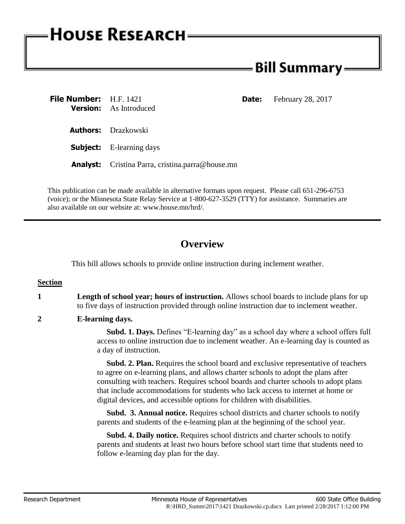# **HOUSE RESEARCH**

## - Bill Summary <del>.</del>

| File Number: H.F. 1421 | <b>Version:</b> As Introduced                           | <b>Date:</b> February 28, 2017 |
|------------------------|---------------------------------------------------------|--------------------------------|
|                        | <b>Authors:</b> Drazkowski                              |                                |
|                        | <b>Subject:</b> E-learning days                         |                                |
|                        | <b>Analyst:</b> Cristina Parra, cristina.parra@house.mn |                                |

This publication can be made available in alternative formats upon request. Please call 651-296-6753 (voice); or the Minnesota State Relay Service at 1-800-627-3529 (TTY) for assistance. Summaries are also available on our website at: www.house.mn/hrd/.

## **Overview**

This bill allows schools to provide online instruction during inclement weather.

### **Section**

- **1 Length of school year; hours of instruction.** Allows school boards to include plans for up to five days of instruction provided through online instruction due to inclement weather.
- **2 E-learning days.**

 **Subd. 1. Days.** Defines "E-learning day" as a school day where a school offers full access to online instruction due to inclement weather. An e-learning day is counted as a day of instruction.

 **Subd. 2. Plan.** Requires the school board and exclusive representative of teachers to agree on e-learning plans, and allows charter schools to adopt the plans after consulting with teachers. Requires school boards and charter schools to adopt plans that include accommodations for students who lack access to internet at home or digital devices, and accessible options for children with disabilities.

 **Subd. 3. Annual notice.** Requires school districts and charter schools to notify parents and students of the e-learning plan at the beginning of the school year.

 **Subd. 4. Daily notice.** Requires school districts and charter schools to notify parents and students at least two hours before school start time that students need to follow e-learning day plan for the day.